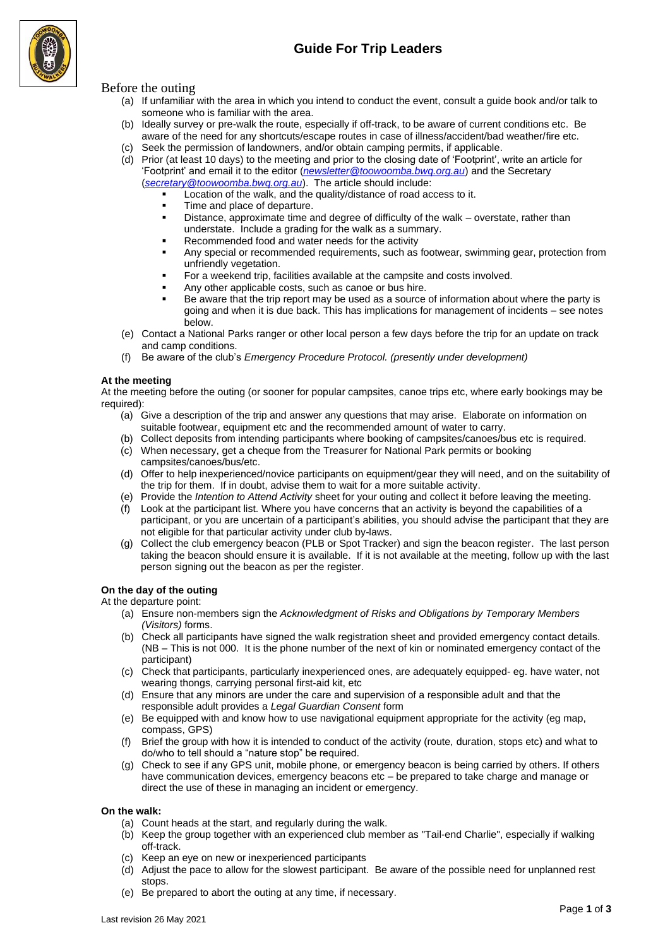

## Before the outing

- (a) If unfamiliar with the area in which you intend to conduct the event, consult a guide book and/or talk to someone who is familiar with the area.
- (b) Ideally survey or pre-walk the route, especially if off-track, to be aware of current conditions etc. Be aware of the need for any shortcuts/escape routes in case of illness/accident/bad weather/fire etc.
- (c) Seek the permission of landowners, and/or obtain camping permits, if applicable.
- (d) Prior (at least 10 days) to the meeting and prior to the closing date of 'Footprint', write an article for 'Footprint' and email it to the editor (*[newsletter@toowoomba.bwq.org.au](mailto:newsletter@toowoomba.bwq.org.au)*) and the Secretary (*secretary@toowoomba.bwq.org.au*). The article should include:
	- Location of the walk, and the quality/distance of road access to it.
	- Time and place of departure.
	- **•** Distance, approximate time and degree of difficulty of the walk overstate, rather than understate. Include a grading for the walk as a summary.
	- Recommended food and water needs for the activity
	- Any special or recommended requirements, such as footwear, swimming gear, protection from unfriendly vegetation.
	- For a weekend trip, facilities available at the campsite and costs involved.
	- Any other applicable costs, such as canoe or bus hire.
	- Be aware that the trip report may be used as a source of information about where the party is going and when it is due back. This has implications for management of incidents – see notes below.
- (e) Contact a National Parks ranger or other local person a few days before the trip for an update on track and camp conditions.
- (f) Be aware of the club's *Emergency Procedure Protocol. (presently under development)*

#### **At the meeting**

At the meeting before the outing (or sooner for popular campsites, canoe trips etc, where early bookings may be required):

- (a) Give a description of the trip and answer any questions that may arise. Elaborate on information on suitable footwear, equipment etc and the recommended amount of water to carry.
- (b) Collect deposits from intending participants where booking of campsites/canoes/bus etc is required.
- (c) When necessary, get a cheque from the Treasurer for National Park permits or booking campsites/canoes/bus/etc.
- (d) Offer to help inexperienced/novice participants on equipment/gear they will need, and on the suitability of the trip for them. If in doubt, advise them to wait for a more suitable activity.
- (e) Provide the *Intention to Attend Activity* sheet for your outing and collect it before leaving the meeting.
- (f) Look at the participant list. Where you have concerns that an activity is beyond the capabilities of a participant, or you are uncertain of a participant's abilities, you should advise the participant that they are not eligible for that particular activity under club by-laws.
- (g) Collect the club emergency beacon (PLB or Spot Tracker) and sign the beacon register. The last person taking the beacon should ensure it is available. If it is not available at the meeting, follow up with the last person signing out the beacon as per the register.

### **On the day of the outing**

At the departure point:

- (a) Ensure non-members sign the *Acknowledgment of Risks and Obligations by Temporary Members (Visitors)* forms.
- (b) Check all participants have signed the walk registration sheet and provided emergency contact details. (NB – This is not 000. It is the phone number of the next of kin or nominated emergency contact of the participant)
- (c) Check that participants, particularly inexperienced ones, are adequately equipped- eg. have water, not wearing thongs, carrying personal first-aid kit, etc
- (d) Ensure that any minors are under the care and supervision of a responsible adult and that the responsible adult provides a *Legal Guardian Consent* form
- (e) Be equipped with and know how to use navigational equipment appropriate for the activity (eg map, compass, GPS)
- (f) Brief the group with how it is intended to conduct of the activity (route, duration, stops etc) and what to do/who to tell should a "nature stop" be required.
- (g) Check to see if any GPS unit, mobile phone, or emergency beacon is being carried by others. If others have communication devices, emergency beacons etc – be prepared to take charge and manage or direct the use of these in managing an incident or emergency.

### **On the walk:**

- (a) Count heads at the start, and regularly during the walk.
- (b) Keep the group together with an experienced club member as "Tail-end Charlie", especially if walking off-track.
- (c) Keep an eye on new or inexperienced participants
- (d) Adjust the pace to allow for the slowest participant. Be aware of the possible need for unplanned rest stops.
- (e) Be prepared to abort the outing at any time, if necessary.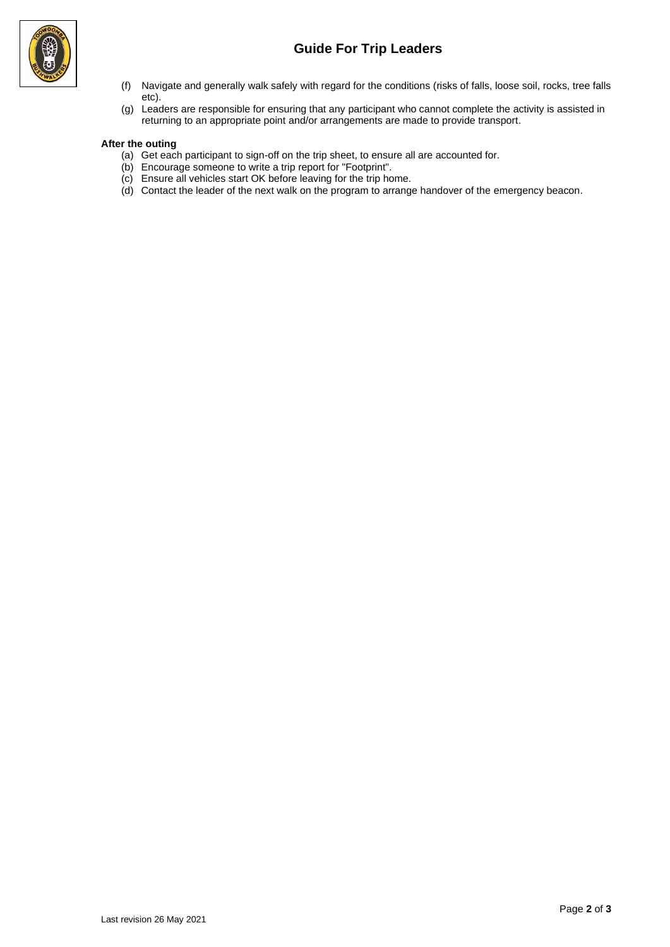# **Guide For Trip Leaders**



- (f) Navigate and generally walk safely with regard for the conditions (risks of falls, loose soil, rocks, tree falls etc).
- (g) Leaders are responsible for ensuring that any participant who cannot complete the activity is assisted in returning to an appropriate point and/or arrangements are made to provide transport.

### **After the outing**

- (a) Get each participant to sign-off on the trip sheet, to ensure all are accounted for.
- (b) Encourage someone to write a trip report for "Footprint".
- (c) Ensure all vehicles start OK before leaving for the trip home.
- (d) Contact the leader of the next walk on the program to arrange handover of the emergency beacon.